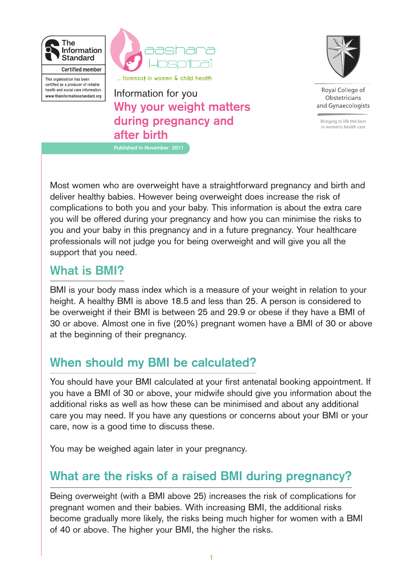

certified as a producer of reliable

health and social care information. www.theinformationstandard.org



**Why your weight matters during pregnancy and after birth** Information for you **Published in November 2011**



Roval College of Obstetricians and Gynaecologists

Bringing to life the best in women's health care

Most women who are overweight have a straightforward pregnancy and birth and deliver healthy babies. However being overweight does increase the risk of complications to both you and your baby. This information is about the extra care you will be offered during your pregnancy and how you can minimise the risks to you and your baby in this pregnancy and in a future pregnancy. Your healthcare professionals will not judge you for being overweight and will give you all the support that you need.

# **What is BMI?**

BMI is your body mass index which is a measure of your weight in relation to your height. A healthy BMI is above 18.5 and less than 25. A person is considered to be overweight if their BMI is between 25 and 29.9 or obese if they have a BMI of 30 or above. Almost one in five (20%) pregnant women have a BMI of 30 or above at the beginning of their pregnancy.

# **When should my BMI be calculated?**

You should have your BMI calculated at your first antenatal booking appointment. If you have a BMI of 30 or above, your midwife should give you information about the additional risks as well as how these can be minimised and about any additional care you may need. If you have any questions or concerns about your BMI or your care, now is a good time to discuss these.

You may be weighed again later in your pregnancy.

# **What are the risks of a raised BMI during pregnancy?**

Being overweight (with a BMI above 25) increases the risk of complications for pregnant women and their babies. With increasing BMI, the additional risks become gradually more likely, the risks being much higher for women with a BMI of 40 or above. The higher your BMI, the higher the risks.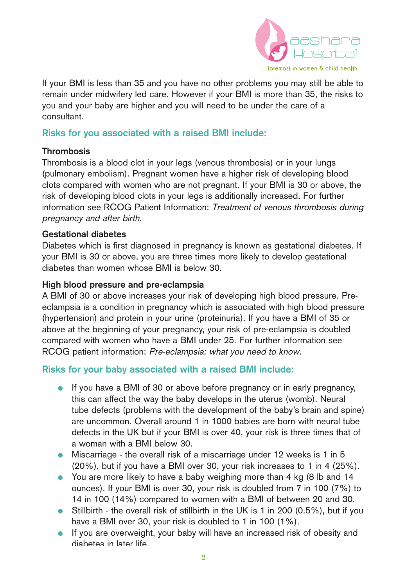

If your BMI is less than 35 and you have no other problems you may still be able to remain under midwifery led care. However if your BMI is more than 35, the risks to you and your baby are higher and you will need to be under the care of a consultant.

# **Risks for you associated with a raised BMI include:**

### **Thrombosis**

Thrombosis is a blood clot in your legs (venous thrombosis) or in your lungs (pulmonary embolism). Pregnant women have a higher risk of developing blood clots compared with women who are not pregnant. If your BMI is 30 or above, the risk of developing blood clots in your legs is additionally increased. For further information see RCOG Patient Information: Treatment of venous thrombosis during pregnancy and after birth.

### **Gestational diabetes**

Diabetes which is first diagnosed in pregnancy is known as gestational diabetes. If your BMI is 30 or above, you are three times more likely to develop gestational diabetes than women whose BMI is below 30.

### **High blood pressure and pre-eclampsia**

A BMI of 30 or above increases your risk of developing high blood pressure. Preeclampsia is a condition in pregnancy which is associated with high blood pressure (hypertension) and protein in your urine (proteinuria). If you have a BMI of 35 or above at the beginning of your pregnancy, your risk of pre-eclampsia is doubled compared with women who have a BMI under 25. For further information see RCOG patient information: Pre-eclampsia: what you need to know.

# **Risks for your baby associated with a raised BMI include:**

- If you have a BMI of 30 or above before pregnancy or in early pregnancy, this can affect the way the baby develops in the uterus (womb). Neural tube defects (problems with the development of the baby's brain and spine) are uncommon. Overall around 1 in 1000 babies are born with neural tube defects in the UK but if your BMI is over 40, your risk is three times that of a woman with a BMI below 30.
- Miscarriage the overall risk of a miscarriage under 12 weeks is 1 in 5 (20%), but if you have a BMI over 30, your risk increases to 1 in 4 (25%).
- You are more likely to have a baby weighing more than 4 kg (8 lb and 14 ounces). If your BMI is over 30, your risk is doubled from 7 in 100 (7%) to 14 in 100 (14%) compared to women with a BMI of between 20 and 30.
- Stillbirth the overall risk of stillbirth in the UK is 1 in 200 (0.5%), but if you have a BMI over 30, your risk is doubled to 1 in 100 (1%).
- If you are overweight, your baby will have an increased risk of obesity and diabetes in later life.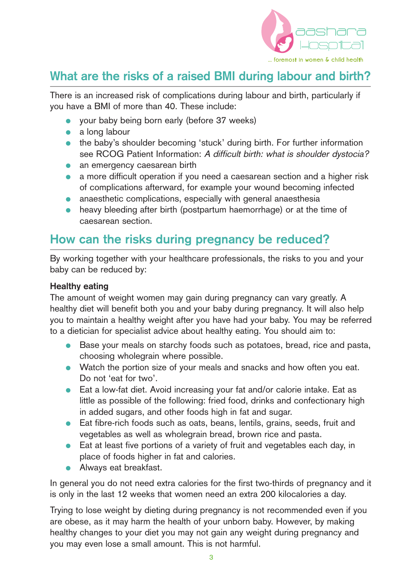

# **What are the risks of a raised BMI during labour and birth?**

There is an increased risk of complications during labour and birth, particularly if you have a BMI of more than 40. These include:

- vour baby being born early (before 37 weeks)
- $\bullet$  a long labour
- the baby's shoulder becoming 'stuck' during birth. For further information see RCOG Patient Information: A difficult birth: what is shoulder dystocia?
- an emergency caesarean birth
- a more difficult operation if you need a caesarean section and a higher risk of complications afterward, for example your wound becoming infected
- anaesthetic complications, especially with general anaesthesia
- heavy bleeding after birth (postpartum haemorrhage) or at the time of caesarean section.

# **How can the risks during pregnancy be reduced?**

By working together with your healthcare professionals, the risks to you and your baby can be reduced by:

### **Healthy eating**

The amount of weight women may gain during pregnancy can vary greatly. A healthy diet will benefit both you and your baby during pregnancy. It will also help you to maintain a healthy weight after you have had your baby. You may be referred to a dietician for specialist advice about healthy eating. You should aim to:

- Base your meals on starchy foods such as potatoes, bread, rice and pasta, choosing wholegrain where possible.
- Watch the portion size of your meals and snacks and how often you eat. Do not 'eat for two'.
- Eat a low-fat diet. Avoid increasing your fat and/or calorie intake. Eat as little as possible of the following: fried food, drinks and confectionary high in added sugars, and other foods high in fat and sugar.
- Eat fibre-rich foods such as oats, beans, lentils, grains, seeds, fruit and vegetables as well as wholegrain bread, brown rice and pasta.
- Eat at least five portions of a variety of fruit and vegetables each day, in place of foods higher in fat and calories.
- **•** Always eat breakfast.

In general you do not need extra calories for the first two-thirds of pregnancy and it is only in the last 12 weeks that women need an extra 200 kilocalories a day.

Trying to lose weight by dieting during pregnancy is not recommended even if you are obese, as it may harm the health of your unborn baby. However, by making healthy changes to your diet you may not gain any weight during pregnancy and you may even lose a small amount. This is not harmful.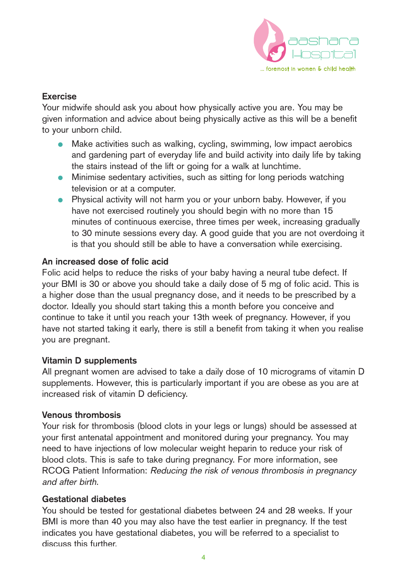

# **Exercise**

Your midwife should ask you about how physically active you are. You may be given information and advice about being physically active as this will be a benefit to your unborn child.

- Make activities such as walking, cycling, swimming, low impact aerobics and gardening part of everyday life and build activity into daily life by taking the stairs instead of the lift or going for a walk at lunchtime.
- Minimise sedentary activities, such as sitting for long periods watching television or at a computer.
- Physical activity will not harm you or your unborn baby. However, if you have not exercised routinely you should begin with no more than 15 minutes of continuous exercise, three times per week, increasing gradually to 30 minute sessions every day. A good guide that you are not overdoing it is that you should still be able to have a conversation while exercising.

# **An increased dose of folic acid**

Folic acid helps to reduce the risks of your baby having a neural tube defect. If your BMI is 30 or above you should take a daily dose of 5 mg of folic acid. This is a higher dose than the usual pregnancy dose, and it needs to be prescribed by a doctor. Ideally you should start taking this a month before you conceive and continue to take it until you reach your 13th week of pregnancy. However, if you have not started taking it early, there is still a benefit from taking it when you realise you are pregnant.

# **Vitamin D supplements**

All pregnant women are advised to take a daily dose of 10 micrograms of vitamin D supplements. However, this is particularly important if you are obese as you are at increased risk of vitamin D deficiency.

# **Venous thrombosis**

Your risk for thrombosis (blood clots in your legs or lungs) should be assessed at your first antenatal appointment and monitored during your pregnancy. You may need to have injections of low molecular weight heparin to reduce your risk of blood clots. This is safe to take during pregnancy. For more information, see RCOG Patient Information: Reducing the risk of venous thrombosis in pregnancy and after birth.

# **Gestational diabetes**

You should be tested for gestational diabetes between 24 and 28 weeks. If your BMI is more than 40 you may also have the test earlier in pregnancy. If the test indicates you have gestational diabetes, you will be referred to a specialist to discuss this further.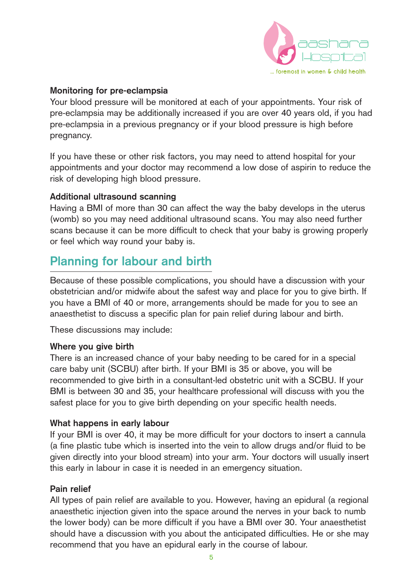

### **Monitoring for pre-eclampsia**

Your blood pressure will be monitored at each of your appointments. Your risk of pre-eclampsia may be additionally increased if you are over 40 years old, if you had pre-eclampsia in a previous pregnancy or if your blood pressure is high before pregnancy.

If you have these or other risk factors, you may need to attend hospital for your appointments and your doctor may recommend a low dose of aspirin to reduce the risk of developing high blood pressure.

#### **Additional ultrasound scanning**

Having a BMI of more than 30 can affect the way the baby develops in the uterus (womb) so you may need additional ultrasound scans. You may also need further scans because it can be more difficult to check that your baby is growing properly or feel which way round your baby is.

# **Planning for labour and birth**

Because of these possible complications, you should have a discussion with your obstetrician and/or midwife about the safest way and place for you to give birth. If you have a BMI of 40 or more, arrangements should be made for you to see an anaesthetist to discuss a specific plan for pain relief during labour and birth.

These discussions may include:

#### **Where you give birth**

There is an increased chance of your baby needing to be cared for in a special care baby unit (SCBU) after birth. If your BMI is 35 or above, you will be recommended to give birth in a consultant-led obstetric unit with a SCBU. If your BMI is between 30 and 35, your healthcare professional will discuss with you the safest place for you to give birth depending on your specific health needs.

#### **What happens in early labour**

If your BMI is over 40, it may be more difficult for your doctors to insert a cannula (a fine plastic tube which is inserted into the vein to allow drugs and/or fluid to be given directly into your blood stream) into your arm. Your doctors will usually insert this early in labour in case it is needed in an emergency situation.

#### **Pain relief**

All types of pain relief are available to you. However, having an epidural (a regional anaesthetic injection given into the space around the nerves in your back to numb the lower body) can be more difficult if you have a BMI over 30. Your anaesthetist should have a discussion with you about the anticipated difficulties. He or she may recommend that you have an epidural early in the course of labour.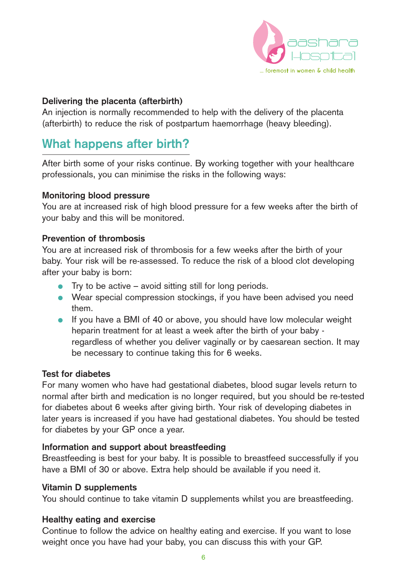

### **Delivering the placenta (afterbirth)**

An injection is normally recommended to help with the delivery of the placenta (afterbirth) to reduce the risk of postpartum haemorrhage (heavy bleeding).

# **What happens after birth?**

After birth some of your risks continue. By working together with your healthcare professionals, you can minimise the risks in the following ways:

#### **Monitoring blood pressure**

You are at increased risk of high blood pressure for a few weeks after the birth of your baby and this will be monitored.

# **Prevention of thrombosis**

You are at increased risk of thrombosis for a few weeks after the birth of your baby. Your risk will be re-assessed. To reduce the risk of a blood clot developing after your baby is born:

- Try to be active avoid sitting still for long periods.
- Wear special compression stockings, if you have been advised you need them.
- If you have a BMI of 40 or above, you should have low molecular weight heparin treatment for at least a week after the birth of your baby regardless of whether you deliver vaginally or by caesarean section. It may be necessary to continue taking this for 6 weeks.

# **Test for diabetes**

For many women who have had gestational diabetes, blood sugar levels return to normal after birth and medication is no longer required, but you should be re-tested for diabetes about 6 weeks after giving birth. Your risk of developing diabetes in later years is increased if you have had gestational diabetes. You should be tested for diabetes by your GP once a year.

# **Information and support about breastfeeding**

Breastfeeding is best for your baby. It is possible to breastfeed successfully if you have a BMI of 30 or above. Extra help should be available if you need it.

#### **Vitamin D supplements**

You should continue to take vitamin D supplements whilst you are breastfeeding.

# **Healthy eating and exercise**

Continue to follow the advice on healthy eating and exercise. If you want to lose weight once you have had your baby, you can discuss this with your GP.